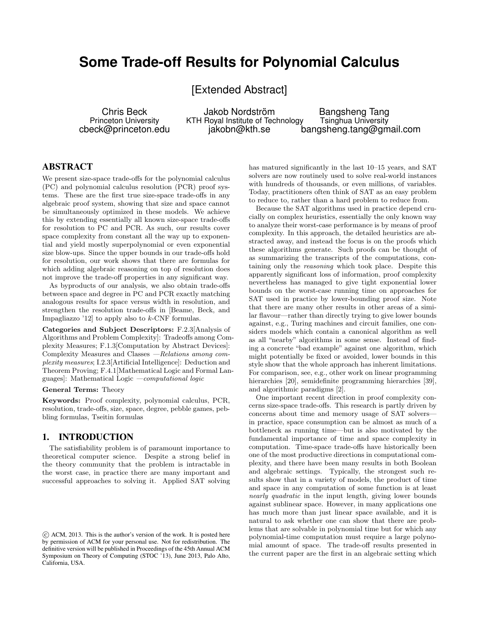# **Some Trade-off Results for Polynomial Calculus**

[Extended Abstract]

Chris Beck Princeton University cbeck@princeton.edu

Jakob Nordström KTH Royal Institute of Technology jakobn@kth.se Bangsheng Tang Tsinghua University bangsheng.tang@gmail.com

# ABSTRACT

We present size-space trade-offs for the polynomial calculus (PC) and polynomial calculus resolution (PCR) proof systems. These are the first true size-space trade-offs in any algebraic proof system, showing that size and space cannot be simultaneously optimized in these models. We achieve this by extending essentially all known size-space trade-offs for resolution to PC and PCR. As such, our results cover space complexity from constant all the way up to exponential and yield mostly superpolynomial or even exponential size blow-ups. Since the upper bounds in our trade-offs hold for resolution, our work shows that there are formulas for which adding algebraic reasoning on top of resolution does not improve the trade-off properties in any significant way.

As byproducts of our analysis, we also obtain trade-offs between space and degree in PC and PCR exactly matching analogous results for space versus width in resolution, and strengthen the resolution trade-offs in [Beame, Beck, and Impagliazzo '12] to apply also to k-CNF formulas.

Categories and Subject Descriptors: F.2.3[Analysis of Algorithms and Problem Complexity]: Tradeoffs among Complexity Measures; F.1.3[Computation by Abstract Devices]: Complexity Measures and Classes —Relations among complexity measures; I.2.3[Artificial Intelligence]: Deduction and Theorem Proving; F.4.1[Mathematical Logic and Formal Languages]: Mathematical Logic —computational logic

#### General Terms: Theory

Keywords: Proof complexity, polynomial calculus, PCR, resolution, trade-offs, size, space, degree, pebble games, pebbling formulas, Tseitin formulas

## 1. INTRODUCTION

The satisfiability problem is of paramount importance to theoretical computer science. Despite a strong belief in the theory community that the problem is intractable in the worst case, in practice there are many important and successful approaches to solving it. Applied SAT solving has matured significantly in the last  $10-15$  years, and SAT solvers are now routinely used to solve real-world instances with hundreds of thousands, or even millions, of variables. Today, practitioners often think of SAT as an easy problem to reduce to, rather than a hard problem to reduce from.

Because the SAT algorithms used in practice depend crucially on complex heuristics, essentially the only known way to analyze their worst-case performance is by means of proof complexity. In this approach, the detailed heuristics are abstracted away, and instead the focus is on the proofs which these algorithms generate. Such proofs can be thought of as summarizing the transcripts of the computations, containing only the reasoning which took place. Despite this apparently significant loss of information, proof complexity nevertheless has managed to give tight exponential lower bounds on the worst-case running time on approaches for SAT used in practice by lower-bounding proof size. Note that there are many other results in other areas of a similar flavour—rather than directly trying to give lower bounds against, e.g., Turing machines and circuit families, one considers models which contain a canonical algorithm as well as all "nearby" algorithms in some sense. Instead of finding a concrete "bad example" against one algorithm, which might potentially be fixed or avoided, lower bounds in this style show that the whole approach has inherent limitations. For comparison, see, e.g., other work on linear programming hierarchies [20], semidefinite programming hierarchies [39], and algorithmic paradigms [2].

One important recent direction in proof complexity concerns size-space trade-offs. This research is partly driven by concerns about time and memory usage of SAT solvers in practice, space consumption can be almost as much of a bottleneck as running time—but is also motivated by the fundamental importance of time and space complexity in computation. Time-space trade-offs have historically been one of the most productive directions in computational complexity, and there have been many results in both Boolean and algebraic settings. Typically, the strongest such results show that in a variety of models, the product of time and space in any computation of some function is at least nearly quadratic in the input length, giving lower bounds against sublinear space. However, in many applications one has much more than just linear space available, and it is natural to ask whether one can show that there are problems that are solvable in polynomial time but for which any polynomial-time computation must require a large polynomial amount of space. The trade-off results presented in the current paper are the first in an algebraic setting which

c ACM, 2013. This is the author's version of the work. It is posted here by permission of ACM for your personal use. Not for redistribution. The definitive version will be published in Proceedings of the 45th Annual ACM Symposium on Theory of Computing (STOC '13), June 2013, Palo Alto, California, USA.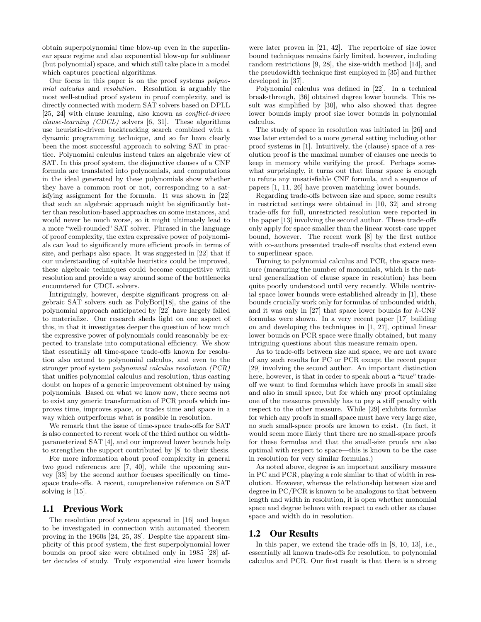obtain superpolynomial time blow-up even in the superlinear space regime and also exponential blow-up for sublinear (but polynomial) space, and which still take place in a model which captures practical algorithms.

Our focus in this paper is on the proof systems polynomial calculus and resolution. Resolution is arguably the most well-studied proof system in proof complexity, and is directly connected with modern SAT solvers based on DPLL [25, 24] with clause learning, also known as *conflict-driven* clause-learning (CDCL) solvers [6, 31]. These algorithms use heuristic-driven backtracking search combined with a dynamic programming technique, and so far have clearly been the most successful approach to solving SAT in practice. Polynomial calculus instead takes an algebraic view of SAT. In this proof system, the disjunctive clauses of a CNF formula are translated into polynomials, and computations in the ideal generated by these polynomials show whether they have a common root or not, corresponding to a satisfying assignment for the formula. It was shown in [22] that such an algebraic approach might be significantly better than resolution-based approaches on some instances, and would never be much worse, so it might ultimately lead to a more "well-rounded" SAT solver. Phrased in the language of proof complexity, the extra expressive power of polynomials can lead to significantly more efficient proofs in terms of size, and perhaps also space. It was suggested in [22] that if our understanding of suitable heuristics could be improved, these algebraic techniques could become competitive with resolution and provide a way around some of the bottlenecks encountered for CDCL solvers.

Intriguingly, however, despite significant progress on algebraic SAT solvers such as PolyBori[18], the gains of the polynomial approach anticipated by [22] have largely failed to materialize. Our research sheds light on one aspect of this, in that it investigates deeper the question of how much the expressive power of polynomials could reasonably be expected to translate into computational efficiency. We show that essentially all time-space trade-offs known for resolution also extend to polynomial calculus, and even to the stronger proof system polynomial calculus resolution (PCR) that unifies polynomial calculus and resolution, thus casting doubt on hopes of a generic improvement obtained by using polynomials. Based on what we know now, there seems not to exist any generic transformation of PCR proofs which improves time, improves space, or trades time and space in a way which outperforms what is possible in resolution.

We remark that the issue of time-space trade-offs for SAT is also connected to recent work of the third author on widthparameterized SAT [4], and our improved lower bounds help to strengthen the support contributed by [8] to their thesis.

For more information about proof complexity in general two good references are [7, 40], while the upcoming survey [33] by the second author focuses specifically on timespace trade-offs. A recent, comprehensive reference on SAT solving is [15].

## 1.1 Previous Work

The resolution proof system appeared in [16] and began to be investigated in connection with automated theorem proving in the 1960s [24, 25, 38]. Despite the apparent simplicity of this proof system, the first superpolynomial lower bounds on proof size were obtained only in 1985 [28] after decades of study. Truly exponential size lower bounds were later proven in [21, 42]. The repertoire of size lower bound techniques remains fairly limited, however, including random restrictions [9, 28], the size-width method [14], and the pseudowidth technique first employed in [35] and further developed in [37].

Polynomial calculus was defined in [22]. In a technical break-through, [36] obtained degree lower bounds. This result was simplified by [30], who also showed that degree lower bounds imply proof size lower bounds in polynomial calculus.

The study of space in resolution was initiated in [26] and was later extended to a more general setting including other proof systems in [1]. Intuitively, the (clause) space of a resolution proof is the maximal number of clauses one needs to keep in memory while verifying the proof. Perhaps somewhat surprisingly, it turns out that linear space is enough to refute any unsatisfiable CNF formula, and a sequence of papers [1, 11, 26] have proven matching lower bounds.

Regarding trade-offs between size and space, some results in restricted settings were obtained in [10, 32] and strong trade-offs for full, unrestricted resolution were reported in the paper [13] involving the second author. These trade-offs only apply for space smaller than the linear worst-case upper bound, however. The recent work [8] by the first author with co-authors presented trade-off results that extend even to superlinear space.

Turning to polynomial calculus and PCR, the space measure (measuring the number of monomials, which is the natural generalization of clause space in resolution) has been quite poorly understood until very recently. While nontrivial space lower bounds were established already in [1], these bounds crucially work only for formulas of unbounded width, and it was only in  $[27]$  that space lower bounds for  $k$ -CNF formulas were shown. In a very recent paper [17] building on and developing the techniques in [1, 27], optimal linear lower bounds on PCR space were finally obtained, but many intriguing questions about this measure remain open.

As to trade-offs between size and space, we are not aware of any such results for PC or PCR except the recent paper [29] involving the second author. An important distinction here, however, is that in order to speak about a "true" tradeoff we want to find formulas which have proofs in small size and also in small space, but for which any proof optimizing one of the measures provably has to pay a stiff penalty with respect to the other measure. While [29] exhibits formulas for which any proofs in small space must have very large size, no such small-space proofs are known to exist. (In fact, it would seem more likely that there are no small-space proofs for these formulas and that the small-size proofs are also optimal with respect to space—this is known to be the case in resolution for very similar formulas.)

As noted above, degree is an important auxiliary measure in PC and PCR, playing a role similar to that of width in resolution. However, whereas the relationship between size and degree in PC/PCR is known to be analogous to that between length and width in resolution, it is open whether monomial space and degree behave with respect to each other as clause space and width do in resolution.

#### 1.2 Our Results

In this paper, we extend the trade-offs in [8, 10, 13], i.e., essentially all known trade-offs for resolution, to polynomial calculus and PCR. Our first result is that there is a strong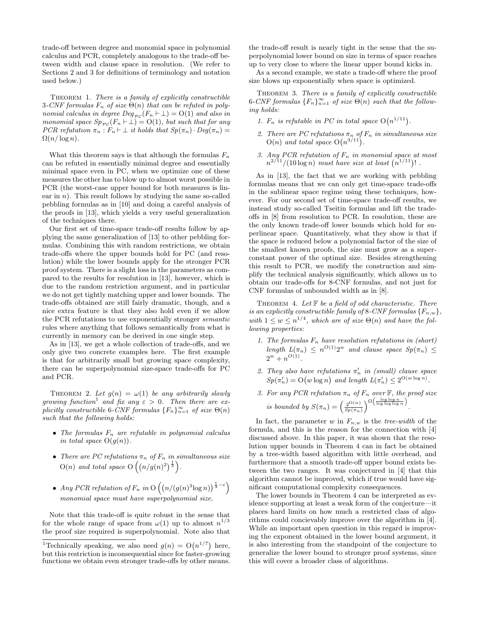trade-off between degree and monomial space in polynomial calculus and PCR, completely analogous to the trade-off between width and clause space in resolution. (We refer to Sections 2 and 3 for definitions of terminology and notation used below.)

THEOREM 1. There is a family of explicitly constructible 3-CNF formulas  $F_n$  of size  $\Theta(n)$  that can be refuted in polynomial calculus in degree  $Deg_{\mathcal{PC}}(F_n \vdash \bot) = O(1)$  and also in monomial space  $Sp_{\mathcal{PC}}(F_n \vdash \bot) = O(1)$ , but such that for any PCR refutation  $\pi_n : F_n \vdash \bot$  it holds that  $Sp(\pi_n) \cdot Deg(\pi_n) =$  $\Omega(n/\log n)$ .

What this theorem says is that although the formulas  $F_n$ can be refuted in essentially minimal degree and essentially minimal space even in PC, when we optimize one of these measures the other has to blow up to almost worst possible in PCR (the worst-case upper bound for both measures is linear in  $n$ ). This result follows by studying the same so-called pebbling formulas as in [10] and doing a careful analysis of the proofs in [13], which yields a very useful generalization of the techniques there.

Our first set of time-space trade-off results follow by applying the same generalization of [13] to other pebbling formulas. Combining this with random restrictions, we obtain trade-offs where the upper bounds hold for PC (and resolution) while the lower bounds apply for the stronger PCR proof system. There is a slight loss in the parameters as compared to the results for resolution in [13], however, which is due to the random restriction argument, and in particular we do not get tightly matching upper and lower bounds. The trade-offs obtained are still fairly dramatic, though, and a nice extra feature is that they also hold even if we allow the PCR refutations to use exponentially stronger semantic rules where anything that follows semantically from what is currently in memory can be derived in one single step.

As in [13], we get a whole collection of trade-offs, and we only give two concrete examples here. The first example is that for arbitrarily small but growing space complexity, there can be superpolynomial size-space trade-offs for PC and PCR.

THEOREM 2. Let  $g(n) = \omega(1)$  be any arbitrarily slowly growing function<sup>1</sup> and fix any  $\varepsilon > 0$ . Then there are explicitly constructible 6-CNF formulas  $\{F_n\}_{n=1}^{\infty}$  of size  $\Theta(n)$ such that the following holds:

- The formulas  $F_n$  are refutable in polynomial calculus in total space  $O(g(n))$ .
- There are PC refutations  $\pi_n$  of  $F_n$  in simultaneous size  $O(n)$  and total space  $O(n/g(n)^2)^{\frac{1}{3}}$ .
- Any PCR refutation of  $F_n$  in  $O((n/(g(n)^3 \log n))^{\frac{1}{3}-\varepsilon})$ monomial space must have superpolynomial size.

Note that this trade-off is quite robust in the sense that for the whole range of space from  $\omega(1)$  up to almost  $n^{1/3}$ the proof size required is superpolynomial. Note also that the trade-off result is nearly tight in the sense that the superpolynomial lower bound on size in terms of space reaches up to very close to where the linear upper bound kicks in.

As a second example, we state a trade-off where the proof size blows up exponentially when space is optimized.

THEOREM 3. There is a family of explicitly constructible 6-CNF formulas  ${F_n}_{n=1}^{\infty}$  of size  $\Theta(n)$  such that the following holds:

- 1.  $F_n$  is refutable in PC in total space  $O(n^{1/11})$ .
- 2. There are PC refutations  $\pi_n$  of  $F_n$  in simultaneous size  $O(n)$  and total space  $O(n^{3/11})$ .
- 3. Any PCR refutation of  $F_n$  in monomial space at most  $n^{2/11}/(10 \log n)$  must have size at least  $(n^{1/11})!$ .

As in [13], the fact that we are working with pebbling formulas means that we can only get time-space trade-offs in the sublinear space regime using these techniques, however. For our second set of time-space trade-off results, we instead study so-called Tseitin formulas and lift the tradeoffs in [8] from resolution to PCR. In resolution, these are the only known trade-off lower bounds which hold for superlinear space. Quantitatively, what they show is that if the space is reduced below a polynomial factor of the size of the smallest known proofs, the size must grow as a superconstant power of the optimal size. Besides strengthening this result to PCR, we modify the construction and simplify the technical analysis significantly, which allows us to obtain our trade-offs for 8-CNF formulas, and not just for CNF formulas of unbounded width as in [8].

THEOREM 4. Let  $F$  be a field of odd characteristic. There is an explicitly constructible family of 8-CNF formulas  $\{F_{n,w}\},$ with  $1 \leq w \leq n^{1/4}$ , which are of size  $\Theta(n)$  and have the following properties:

- 1. The formulas  $F_n$  have resolution refutations in (short) length  $L(\pi_n) \leq n^{O(1)}2^w$  and clause space  $Sp(\pi_n) \leq$  $2^w + n^{O(1)}$ .
- 2. They also have refutations  $\pi'_n$  in (small) clause space  $Sp(\pi'_n) = \mathcal{O}(w \log n)$  and length  $L(\pi'_n) \leq 2^{\mathcal{O}(w \log n)}$ .
- 3. For any PCR refutation  $\pi_n$  of  $F_n$  over  $\mathbb F$ , the proof size is bounded by  $S(\pi_n) = \left(\frac{2^{\Omega(w)}}{S_n(\pi_m)}\right)$  $\frac{2^{\Omega(w)}}{Sp(\pi_n)}\bigg)^{\Omega\left(\frac{\log\log n}{\log\log\log n}\right)}.$

In fact, the parameter w in  $F_{n,w}$  is the tree-width of the formula, and this is the reason for the connection with [4] discussed above. In this paper, it was shown that the resolution upper bounds in Theorem 4 can in fact be obtained by a tree-width based algorithm with little overhead, and furthermore that a smooth trade-off upper bound exists between the two ranges. It was conjectured in [4] that this algorithm cannot be improved, which if true would have significant computational complexity consequences.

The lower bounds in Theorem 4 can be interpreted as evidence supporting at least a weak form of the conjecture—it places hard limits on how much a restricted class of algorithms could concievably improve over the algorithm in [4]. While an important open question in this regard is improving the exponent obtained in the lower bound argument, it is also interesting from the standpoint of the conjecture to generalize the lower bound to stronger proof systems, since this will cover a broader class of algorithms.

<sup>&</sup>lt;sup>1</sup>Technically speaking, we also need  $g(n) = O(n^{1/7})$  here, but this restriction is inconsequential since for faster-growing functions we obtain even stronger trade-offs by other means.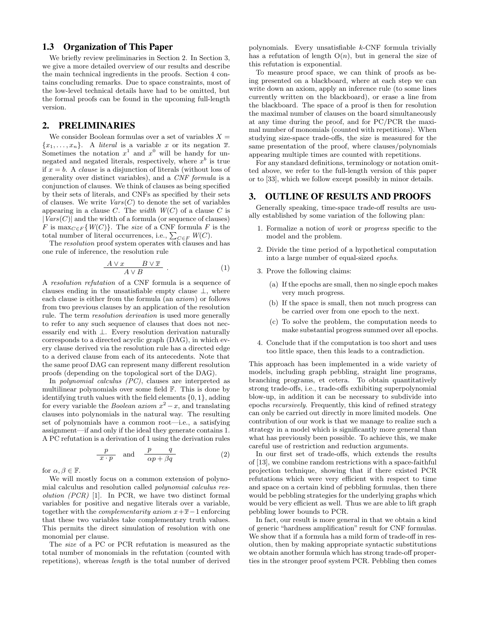# 1.3 Organization of This Paper

We briefly review preliminaries in Section 2. In Section 3, we give a more detailed overview of our results and describe the main technical ingredients in the proofs. Section 4 contains concluding remarks. Due to space constraints, most of the low-level technical details have had to be omitted, but the formal proofs can be found in the upcoming full-length version.

## 2. PRELIMINARIES

We consider Boolean formulas over a set of variables  $X =$  $\{x_1, \ldots, x_n\}$ . A *literal* is a variable x or its negation  $\overline{x}$ . Sometimes the notation  $x^1$  and  $x^0$  will be handy for unnegated and negated literals, respectively, where  $x^b$  is true if  $x = b$ . A *clause* is a disjunction of literals (without loss of generality over distinct variables), and a CNF formula is a conjunction of clauses. We think of clauses as being specified by their sets of literals, and CNFs as specified by their sets of clauses. We write  $Vars(C)$  to denote the set of variables appearing in a clause C. The width  $W(C)$  of a clause C is  $|Vars(C)|$  and the width of a formula (or sequence of clauses) F is  $\max_{C \in F} \{W(C)\}.$  The size of a CNF formula F is the total number of literal occurrences, i.e.,  $\sum_{C \in F} W(C)$ .

The *resolution* proof system operates with clauses and has one rule of inference, the resolution rule

$$
\frac{A \vee x \qquad B \vee \overline{x}}{A \vee B} \ . \tag{1}
$$

A resolution refutation of a CNF formula is a sequence of clauses ending in the unsatisfiable empty clause  $\perp$ , where each clause is either from the formula (an axiom) or follows from two previous clauses by an application of the resolution rule. The term resolution derivation is used more generally to refer to any such sequence of clauses that does not necessarily end with ⊥. Every resolution derivation naturally corresponds to a directed acyclic graph (DAG), in which every clause derived via the resolution rule has a directed edge to a derived clause from each of its antecedents. Note that the same proof DAG can represent many different resolution proofs (depending on the topological sort of the DAG).

In polynomial calculus (PC), clauses are interpreted as multilinear polynomials over some field F. This is done by identifying truth values with the field elements {0, 1}, adding for every variable the *Boolean axiom*  $x^2 - x$ , and translating clauses into polynomials in the natural way. The resulting set of polynomials have a common root—i.e., a satisfying assignment—if and only if the ideal they generate contains 1. A PC refutation is a derivation of 1 using the derivation rules

$$
\frac{p}{x \cdot p} \quad \text{and} \quad \frac{p}{\alpha p + \beta q} \tag{2}
$$

for  $\alpha, \beta \in \mathbb{F}$ .

We will mostly focus on a common extension of polynomial calculus and resolution called polynomial calculus res*olution (PCR)* [1]. In PCR, we have two distinct formal variables for positive and negative literals over a variable, together with the *complementarity axiom*  $x+\overline{x}-1$  enforcing that these two variables take complementary truth values. This permits the direct simulation of resolution with one monomial per clause.

The size of a PC or PCR refutation is measured as the total number of monomials in the refutation (counted with repetitions), whereas length is the total number of derived

polynomials. Every unsatisfiable k-CNF formula trivially has a refutation of length  $O(n)$ , but in general the size of this refutation is exponential.

To measure proof space, we can think of proofs as being presented on a blackboard, where at each step we can write down an axiom, apply an inference rule (to some lines currently written on the blackboard), or erase a line from the blackboard. The space of a proof is then for resolution the maximal number of clauses on the board simultaneously at any time during the proof, and for PC/PCR the maximal number of monomials (counted with repetitions). When studying size-space trade-offs, the size is measured for the same presentation of the proof, where clauses/polynomials appearing multiple times are counted with repetitions.

For any standard definitions, terminology or notation omitted above, we refer to the full-length version of this paper or to [33], which we follow except possibly in minor details.

## 3. OUTLINE OF RESULTS AND PROOFS

Generally speaking, time-space trade-off results are usually established by some variation of the following plan:

- 1. Formalize a notion of work or progress specific to the model and the problem.
- 2. Divide the time period of a hypothetical computation into a large number of equal-sized epochs.
- 3. Prove the following claims:
	- (a) If the epochs are small, then no single epoch makes very much progress.
	- (b) If the space is small, then not much progress can be carried over from one epoch to the next.
	- (c) To solve the problem, the computation needs to make substantial progress summed over all epochs.
- 4. Conclude that if the computation is too short and uses too little space, then this leads to a contradiction.

This approach has been implemented in a wide variety of models, including graph pebbling, straight line programs, branching programs, et cetera. To obtain quantitatively strong trade-offs, i.e., trade-offs exhibiting superpolynomial blow-up, in addition it can be necessary to subdivide into epochs recursively. Frequently, this kind of refined strategy can only be carried out directly in more limited models. One contribution of our work is that we manage to realize such a strategy in a model which is significantly more general than what has previously been possible. To achieve this, we make careful use of restriction and reduction arguments.

In our first set of trade-offs, which extends the results of [13], we combine random restrictions with a space-faithful projection technique, showing that if there existed PCR refutations which were very efficient with respect to time and space on a certain kind of pebbling formulas, then there would be pebbling strategies for the underlying graphs which would be very efficient as well. Thus we are able to lift graph pebbling lower bounds to PCR.

In fact, our result is more general in that we obtain a kind of generic "hardness amplification" result for CNF formulas. We show that if a formula has a mild form of trade-off in resolution, then by making appropriate syntactic substitutions we obtain another formula which has strong trade-off properties in the stronger proof system PCR. Pebbling then comes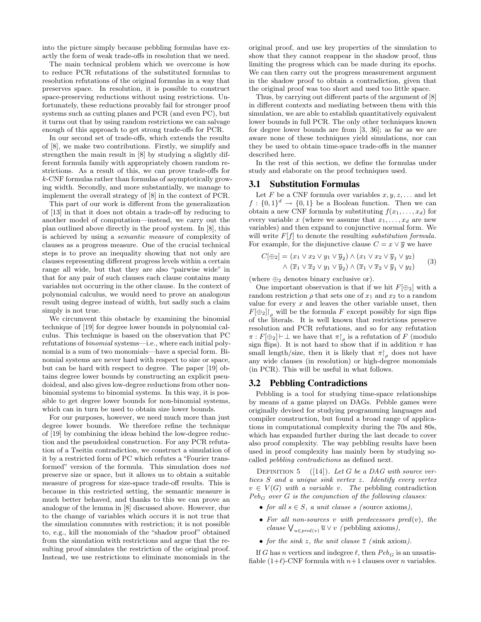into the picture simply because pebbling formulas have exactly the form of weak trade-offs in resolution that we need.

The main technical problem which we overcome is how to reduce PCR refutations of the substituted formulas to resolution refutations of the original formulas in a way that preserves space. In resolution, it is possible to construct space-preserving reductions without using restrictions. Unfortunately, these reductions provably fail for stronger proof systems such as cutting planes and PCR (and even PC), but it turns out that by using random restrictions we can salvage enough of this approach to get strong trade-offs for PCR.

In our second set of trade-offs, which extends the results of [8], we make two contributions. Firstly, we simplify and strengthen the main result in [8] by studying a slightly different formula family with appropriately chosen random restrictions. As a result of this, we can prove trade-offs for k-CNF formulas rather than formulas of asymptotically growing width. Secondly, and more substantially, we manage to implement the overall strategy of [8] in the context of PCR.

This part of our work is different from the generalization of [13] in that it does not obtain a trade-off by reducing to another model of computation—instead, we carry out the plan outlined above directly in the proof system. In [8], this is achieved by using a semantic measure of complexity of clauses as a progress measure. One of the crucial technical steps is to prove an inequality showing that not only are clauses representing different progress levels within a certain range all wide, but that they are also "pairwise wide" in that for any pair of such clauses each clause contains many variables not occurring in the other clause. In the context of polynomial calculus, we would need to prove an analogous result using degree instead of width, but sadly such a claim simply is not true.

We circumvent this obstacle by examining the binomial technique of [19] for degree lower bounds in polynomial calculus. This technique is based on the observation that PC refutations of binomial systems—i.e., where each initial polynomial is a sum of two monomials—have a special form. Binomial systems are never hard with respect to size or space, but can be hard with respect to degree. The paper [19] obtains degree lower bounds by constructing an explicit pseudoideal, and also gives low-degree reductions from other nonbinomial systems to binomial systems. In this way, it is possible to get degree lower bounds for non-binomial systems, which can in turn be used to obtain size lower bounds.

For our purposes, however, we need much more than just degree lower bounds. We therefore refine the technique of [19] by combining the ideas behind the low-degree reduction and the pseudoideal construction. For any PCR refutation of a Tseitin contradiction, we construct a simulation of it by a restricted form of PC which refutes a "Fourier transformed" version of the formula. This simulation does not preserve size or space, but it allows us to obtain a suitable measure of progress for size-space trade-off results. This is because in this restricted setting, the semantic measure is much better behaved, and thanks to this we can prove an analogue of the lemma in [8] discussed above. However, due to the change of variables which occurs it is not true that the simulation commutes with restriction; it is not possible to, e.g., kill the monomials of the "shadow proof" obtained from the simulation with restrictions and argue that the resulting proof simulates the restriction of the original proof. Instead, we use restrictions to eliminate monomials in the

original proof, and use key properties of the simulation to show that they cannot reappear in the shadow proof, thus limiting the progress which can be made during its epochs. We can then carry out the progress measurement argument in the shadow proof to obtain a contradiction, given that the original proof was too short and used too little space.

Thus, by carrying out different parts of the argument of [8] in different contexts and mediating between them with this simulation, we are able to establish quantitatively equivalent lower bounds in full PCR. The only other techniques known for degree lower bounds are from [3, 36]; as far as we are aware none of these techniques yield simulations, nor can they be used to obtain time-space trade-offs in the manner described here.

In the rest of this section, we define the formulas under study and elaborate on the proof techniques used.

#### 3.1 Substitution Formulas

Let F be a CNF formula over variables  $x, y, z, \ldots$  and let  $f: \{0,1\}^d \to \{0,1\}$  be a Boolean function. Then we can obtain a new CNF formula by substituting  $f(x_1, \ldots, x_d)$  for every variable x (where we assume that  $x_1, \ldots, x_d$  are new variables) and then expand to conjunctive normal form. We will write  $F[f]$  to denote the resulting *substitution formula*. For example, for the disjunctive clause  $C = x \vee \overline{y}$  we have

$$
C[\oplus_2] = (x_1 \lor x_2 \lor y_1 \lor \overline{y}_2) \land (x_1 \lor x_2 \lor \overline{y}_1 \lor y_2)
$$
  
 
$$
\land (\overline{x}_1 \lor \overline{x}_2 \lor y_1 \lor \overline{y}_2) \land (\overline{x}_1 \lor \overline{x}_2 \lor \overline{y}_1 \lor y_2)
$$
 (3)

(where  $\bigoplus_2$  denotes binary exclusive or).

One important observation is that if we hit  $F[\oplus_2]$  with a random restriction  $\rho$  that sets one of  $x_1$  and  $x_2$  to a random value for every  $x$  and leaves the other variable unset, then  $F[\oplus_2]$ <sub>c</sub> will be the formula F except possibly for sign flips of the literals. It is well known that restrictions preserve resolution and PCR refutations, and so for any refutation  $\pi : F[\oplus_2] \vdash \bot$  we have that  $\pi \upharpoonright_{\rho}$  is a refutation of F (modulo sign flips). It is not hard to show that if in addition  $\pi$  has small length/size, then it is likely that  $\pi \upharpoonright_{\rho}$  does not have any wide clauses (in resolution) or high-degree monomials (in PCR). This will be useful in what follows.

#### 3.2 Pebbling Contradictions

Pebbling is a tool for studying time-space relationships by means of a game played on DAGs. Pebble games were originally devised for studying programming languages and compiler construction, but found a broad range of applications in computational complexity during the 70s and 80s, which has expanded further during the last decade to cover also proof complexity. The way pebbling results have been used in proof complexity has mainly been by studying socalled pebbling contradictions as defined next.

DEFINITION 5  $([14])$ . Let G be a DAG with source vertices S and a unique sink vertex z. Identify every vertex  $v \in V(G)$  with a variable v. The pebbling contradiction  $Peb_G$  over  $G$  is the conjunction of the following clauses:

- for all  $s \in S$ , a unit clause s (source axioms),
- For all non-sources v with predecessors  $pred(v)$ , the *clause*  $\bigvee_{u \in pred(v)} \overline{u} \vee v$  (pebbling axioms),
- for the sink z, the unit clause  $\overline{z}$  (sink axiom).

If G has n vertices and indegree  $\ell$ , then  $Peb_G$  is an unsatisfiable (1+ $\ell$ )-CNF formula with  $n+1$  clauses over n variables.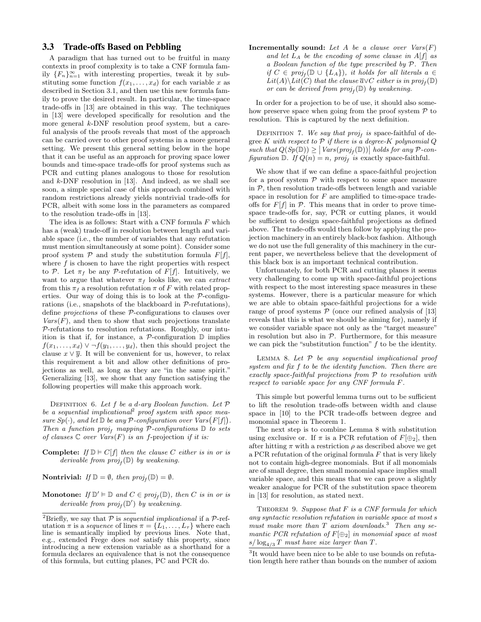## 3.3 Trade-offs Based on Pebbling

A paradigm that has turned out to be fruitful in many contexts in proof complexity is to take a CNF formula family  $\{F_n\}_{n=1}^{\infty}$  with interesting properties, tweak it by substituting some function  $f(x_1, \ldots, x_d)$  for each variable x as described in Section 3.1, and then use this new formula family to prove the desired result. In particular, the time-space trade-offs in [13] are obtained in this way. The techniques in [13] were developed specifically for resolution and the more general k-DNF resolution proof system, but a careful analysis of the proofs reveals that most of the approach can be carried over to other proof systems in a more general setting. We present this general setting below in the hope that it can be useful as an approach for proving space lower bounds and time-space trade-offs for proof systems such as PCR and cutting planes analogous to those for resolution and k-DNF resolution in [13]. And indeed, as we shall see soon, a simple special case of this approach combined with random restrictions already yields nontrivial trade-offs for PCR, albeit with some loss in the parameters as compared to the resolution trade-offs in [13].

The idea is as follows: Start with a CNF formula F which has a (weak) trade-off in resolution between length and variable space (i.e., the number of variables that any refutation must mention simultaneously at some point). Consider some proof system  $P$  and study the substitution formula  $F[f]$ , where  $f$  is chosen to have the right properties with respect to P. Let  $\pi_f$  be any P-refutation of F[f]. Intuitively, we want to argue that whatever  $\pi_f$  looks like, we can extract from this  $\pi_f$  a resolution refutation  $\pi$  of F with related properties. Our way of doing this is to look at the  $P$ -configurations (i.e., snapshots of the blackboard in  $\mathcal{P}\text{-refutations}$ ), define projections of these P-configurations to clauses over  $Vars(F)$ , and then to show that such projections translate P-refutations to resolution refutations. Roughly, our intuition is that if, for instance, a  $P$ -configuration  $D$  implies  $f(x_1, \ldots, x_d) \vee \neg f(y_1, \ldots, y_d)$ , then this should project the clause  $x \vee \overline{y}$ . It will be convenient for us, however, to relax this requirement a bit and allow other definitions of projections as well, as long as they are "in the same spirit." Generalizing [13], we show that any function satisfying the following properties will make this approach work.

DEFINITION 6. Let f be a d-ary Boolean function. Let  $\mathcal P$ be a sequential implicational<sup>2</sup> proof system with space measure  $Sp(\cdot)$ , and let  $\mathbb D$  be any  $\mathcal P$ -configuration over  $Vars(F[f])$ . Then a function proj<sub>f</sub> mapping  $P$ -configurations  $D$  to sets of clauses  $\mathbb C$  over  $Vars(F)$  is an f-projection if it is:

**Complete:** If  $\mathbb{D} \models C[f]$  then the clause C either is in or is derivable from  $proj_f(\mathbb{D})$  by weakening.

**Nontrivial:** If  $\mathbb{D} = \emptyset$ , then  $proj_f(\mathbb{D}) = \emptyset$ .

Monotone: If  $\mathbb{D}' \models \mathbb{D}$  and  $C \in proj_f(\mathbb{D})$ , then C is in or is derivable from  $proj_f(\mathbb{D}')$  by weakening.

**Incrementally sound:** Let  $A$  be a clause over  $Vars(F)$ and let  $L_A$  be the encoding of some clause in  $A[f]$  as a Boolean function of the type prescribed by P. Then if  $C \in proj_f(\mathbb{D} \cup \{L_A\})$ , it holds for all literals  $a \in$  $Lit(A)\backslash \overline{Lit(C)}$  that the clause  $\overline{a}\vee C$  either is in  $proj_f(\mathbb{D})$ or can be derived from  $proj_f(\mathbb{D})$  by weakening.

In order for a projection to be of use, it should also somehow preserve space when going from the proof system  $P$  to resolution. This is captured by the next definition.

DEFINITION 7. We say that  $proj_f$  is space-faithful of degree  $K$  with respect to  $P$  if there is a degree- $K$  polynomial  $Q$ such that  $Q(Sp(\mathbb{D})) \geq |Vars(proj_f(\mathbb{D}))|$  holds for any  $\mathcal{P}$ -configuration  $\mathbb{D}$ . If  $Q(n) = n$ , proj<sub>f</sub> is exactly space-faithful.

We show that if we can define a space-faithful projection for a proof system  $P$  with respect to some space measure in  $P$ , then resolution trade-offs between length and variable space in resolution for  $F$  are amplified to time-space tradeoffs for  $F[f]$  in  $\mathcal P$ . This means that in order to prove timespace trade-offs for, say, PCR or cutting planes, it would be sufficient to design space-faithful projections as defined above. The trade-offs would then follow by applying the projection machinery in an entirely black-box fashion. Although we do not use the full generality of this machinery in the current paper, we nevertheless believe that the development of this black box is an important technical contribution.

Unfortunately, for both PCR and cutting planes it seems very challenging to come up with space-faithful projections with respect to the most interesting space measures in these systems. However, there is a particular measure for which we are able to obtain space-faithful projections for a wide range of proof systems  $P$  (once our refined analysis of [13] reveals that this is what we should be aiming for), namely if we consider variable space not only as the "target measure" in resolution but also in  $P$ . Furthermore, for this measure we can pick the "substitution function"  $f$  to be the identity.

LEMMA 8. Let  $P$  be any sequential implicational proof system and fix f to be the identity function. Then there are exactly space-faithful projections from P to resolution with respect to variable space for any CNF formula F.

This simple but powerful lemma turns out to be sufficient to lift the resolution trade-offs between width and clause space in [10] to the PCR trade-offs between degree and monomial space in Theorem 1.

The next step is to combine Lemma 8 with substitution using exclusive or. If  $\pi$  is a PCR refutation of  $F[\oplus_2]$ , then after hitting  $\pi$  with a restriction  $\rho$  as described above we get a PCR refutation of the original formula  $F$  that is very likely not to contain high-degree monomials. But if all monomials are of small degree, then small monomial space implies small variable space, and this means that we can prove a slightly weaker analogue for PCR of the substitution space theorem in [13] for resolution, as stated next.

THEOREM 9. Suppose that  $F$  is a CNF formula for which any syntactic resolution refutation in variable space at most s must make more than  $T$  axiom downloads.<sup>3</sup> Then any semantic PCR refutation of  $F[\oplus_2]$  in monomial space at most  $s/\log_{4/3} T$  must have size larger than T.

<sup>&</sup>lt;sup>2</sup>Briefly, we say that  $P$  is sequential implicational if a  $P$ -refutation  $\pi$  is a *sequence* of lines  $\pi = \{L_1, \ldots, L_{\tau}\}\$  where each line is semantically implied by previous lines. Note that, e.g., extended Frege does not satisfy this property, since introducing a new extension variable as a shorthand for a formula declares an equivalence that is not the consequence of this formula, but cutting planes, PC and PCR do.

<sup>&</sup>lt;sup>3</sup>It would have been nice to be able to use bounds on refutation length here rather than bounds on the number of axiom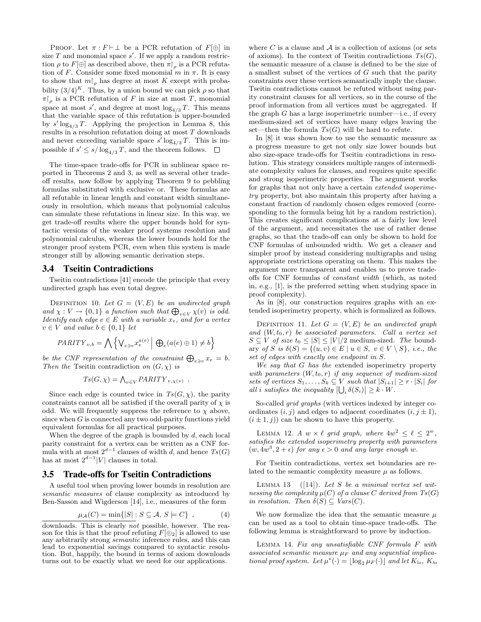PROOF. Let  $\pi : F \vdash \bot$  be a PCR refutation of  $F[\oplus]$  in size  $T$  and monomial space  $s'$ . If we apply a random restriction  $\rho$  to  $F[\oplus]$  as described above, then  $\pi|_{\rho}$  is a PCR refutation of F. Consider some fixed monomial m in  $\pi$ . It is easy to show that  $m\vert_{\rho}$  has degree at most K except with probability  $(3/4)^K$ . Thus, by a union bound we can pick  $\rho$  so that  $\pi$ <sup>[</sup><sub> $\rho$ </sub> is a PCR refutation of F in size at most T, monomial space at most  $s'$ , and degree at most  $\log_{4/3} T$ . This means that the variable space of this refutation is upper-bounded by  $s' \log_{4/3} T$ . Applying the projection in Lemma 8, this results in a resolution refutation doing at most T downloads and never exceeding variable space  $s' \log_{4/3} T$ . This is impossible if  $s' \leq s/\log_{4/3} T$ , and the theorem follows.

The time-space trade-offs for PCR in sublinear space reported in Theorems 2 and 3, as well as several other tradeoff results, now follow by applying Theorem 9 to pebbling formulas substituted with exclusive or. These formulas are all refutable in linear length and constant width simultaneously in resolution, which means that polynomial calculus can simulate these refutations in linear size. In this way, we get trade-off results where the upper bounds hold for syntactic versions of the weaker proof systems resolution and polynomial calculus, whereas the lower bounds hold for the stronger proof system PCR, even when this system is made stronger still by allowing semantic derivation steps.

#### 3.4 Tseitin Contradictions

Tseitin contradictions [41] encode the principle that every undirected graph has even total degree.

DEFINITION 10. Let  $G = (V, E)$  be an undirected graph and  $\chi : V \to \{0,1\}$  a function such that  $\bigoplus_{v \in V} \chi(v)$  is odd. Identify each edge  $e \in E$  with a variable  $x_e$ , and for a vertex  $v \in V$  and value  $b \in \{0, 1\}$  let

$$
PARITY_{v,b} = \bigwedge \left\{ \bigvee_{e \ni v} x_e^{a(e)} \; \middle| \; \bigoplus_e (a(e) \oplus 1) \neq b \right\}
$$

be the CNF representation of the constraint  $\bigoplus_{e \ni v} x_e = b$ . Then the Tseitin contradiction on  $(G, \chi)$  is

$$
Ts(G,\chi) = \bigwedge_{v \in V} PARITY_{v,\chi(v)}.
$$

Since each edge is counted twice in  $Ts(G, \chi)$ , the parity constraints cannot all be satisfied if the overall parity of  $\chi$  is odd. We will frequently suppress the reference to  $\chi$  above, since when G is connected any two odd-parity functions yield equivalent formulas for all practical purposes.

When the degree of the graph is bounded by  $d$ , each local parity constraint for a vertex can be written as a CNF formula with at most  $2^{d-1}$  clauses of width d, and hence  $Ts(G)$ has at most  $2^{d-1}|V|$  clauses in total.

#### 3.5 Trade-offs for Tseitin Contradictions

A useful tool when proving lower bounds in resolution are semantic measures of clause complexity as introduced by Ben-Sasson and Wigderson [14], i.e., measures of the form

$$
\mu_{\mathcal{A}}(C) = \min\{|S| : S \subseteq \mathcal{A}, S \models C\},\tag{4}
$$

where  $C$  is a clause and  $A$  is a collection of axioms (or sets of axioms). In the context of Tseitin contradictions  $Ts(G)$ , the semantic measure of a clause is defined to be the size of a smallest subset of the vertices of G such that the parity constraints over these vertices semantically imply the clause. Tseitin contradictions cannot be refuted without using parity constraint clauses for all vertices, so in the course of the proof information from all vertices must be aggregated. If the graph  $G$  has a large isoperimetric number—i.e., if every medium-sized set of vertices have many edges leaving the set—then the formula  $Ts(G)$  will be hard to refute.

In [8] it was shown how to use the semantic measure as a progress measure to get not only size lower bounds but also size-space trade-offs for Tseitin contradictions in resolution. This strategy considers multiple ranges of intermediate complexity values for clauses, and requires quite specific and strong isoperimetric properties. The argument works for graphs that not only have a certain extended isoperimetry property, but also maintain this property after having a constant fraction of randomly chosen edges removed (corresponding to the formula being hit by a random restriction). This creates significant complications at a fairly low level of the argument, and necessitates the use of rather dense graphs, so that the trade-off can only be shown to hold for CNF formulas of unbounded width. We get a cleaner and simpler proof by instead considering multigraphs and using appropriate restrictions operating on them. This makes the argument more transparent and enables us to prove tradeoffs for CNF formulas of constant width (which, as noted in, e.g., [1], is the preferred setting when studying space in proof complexity).

As in [8], our construction requires graphs with an extended isoperimetry property, which is formalized as follows.

DEFINITION 11. Let  $G = (V, E)$  be an undirected graph and  $(W, t_0, r)$  be associated parameters. Call a vertex set  $S \subseteq V$  of size  $t_0 \leq |S| \leq |V|/2$  medium-sized. The boundary of S is  $\delta(S) = \{(u, v) \in E \mid u \in S, v \in V \setminus S\}$ , i.e., the set of edges with exactly one endpoint in S.

We say that G has the extended isoperimetry property with parameters  $(W, t_0, r)$  if any sequence of medium-sized sets of vertices  $S_1, \ldots, S_k \subseteq V$  such that  $|S_{i+1}| \geq r \cdot |S_i|$  for all i satisfies the inequality  $\left|\bigcup_{i} \delta(S_i)\right| \geq k \cdot W$ .

So-called grid graphs (with vertices indexed by integer coordinates  $(i, j)$  and edges to adjacent coordinates  $(i, j \pm 1)$ ,  $(i \pm 1, j)$  can be shown to have this property.

LEMMA 12. A  $w \times \ell$  grid graph, where  $4w^2 \leq \ell \leq 2^w$ , satisfies the extended isoperimetry property with parameters  $(w, 4w^3, 2 + \epsilon)$  for any  $\epsilon > 0$  and any large enough w.

For Tseitin contradictions, vertex set boundaries are related to the semantic complexity measure  $\mu$  as follows.

LEMMA 13  $([14])$ . Let S be a minimal vertex set witnessing the complexity  $\mu(C)$  of a clause C derived from  $Ts(G)$ in resolution. Then  $\delta(S) \subseteq Vars(C)$ .

We now formalize the idea that the semantic measure  $\mu$ can be used as a tool to obtain time-space trade-offs. The following lemma is straightforward to prove by induction.

Lemma 14. Fix any unsatisfiable CNF formula F with associated semantic measure  $\mu_F$  and any sequential implicational proof system. Let  $\mu^*(\cdot) = \lfloor \log_2 \mu_F(\cdot) \rfloor$  and let  $K_{lo}, K_{hi}$ 

downloads. This is clearly not possible, however. The reason for this is that the proof refuting  $F[\oplus_2]$  is allowed to use any arbitrarily strong semantic inference rules, and this can lead to exponential savings compared to syntactic resolution. But, happily, the bound in terms of axiom downloads turns out to be exactly what we need for our applications.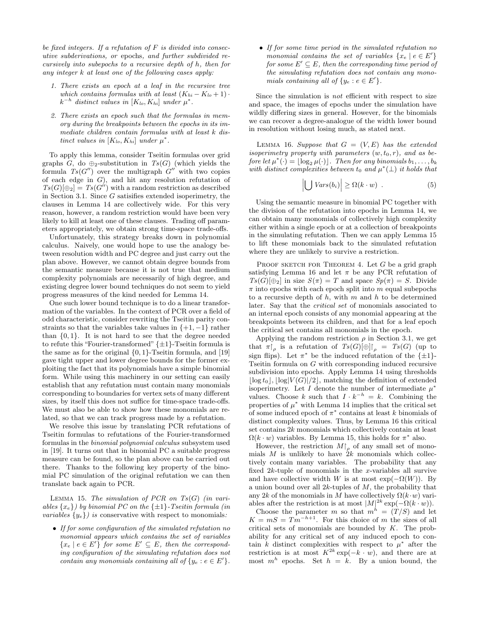be fixed integers. If a refutation of  $F$  is divided into consecutive subderivations, or epochs, and further subdivided recursively into subepochs to a recursive depth of h, then for any integer k at least one of the following cases apply:

- 1. There exists an epoch at a leaf in the recursive tree which contains formulas with at least  $(K_{hi} - K_{lo} + 1)$ .  $k^{-h}$  distinct values in [ $K_{lo}$ ,  $K_{hi}$ ] under  $\mu^*$ .
- 2. There exists an epoch such that the formulas in memory during the breakpoints between the epochs in its immediate children contain formulas with at least k distinct values in  $[K_{lo}, K_{hi}]$  under  $\mu^*$ .

To apply this lemma, consider Tseitin formulas over grid graphs G, do  $\oplus_2$ -substitution in  $Ts(G)$  (which yields the formula  $Ts(G'')$  over the multigraph  $G''$  with two copies of each edge in  $G$ ), and hit any resolution refutation of  $Ts(G)[\oplus_2] = Ts(G'')$  with a random restriction as described in Section 3.1. Since  $G$  satisifies extended isoperimetry, the clauses in Lemma 14 are collectively wide. For this very reason, however, a random restriction would have been very likely to kill at least one of these clauses. Trading off parameters appropriately, we obtain strong time-space trade-offs.

Unfortunately, this strategy breaks down in polynomial calculus. Naively, one would hope to use the analogy between resolution width and PC degree and just carry out the plan above. However, we cannot obtain degree bounds from the semantic measure because it is not true that medium complexity polynomials are necessarily of high degree, and existing degree lower bound techniques do not seem to yield progress measures of the kind needed for Lemma 14.

One such lower bound technique is to do a linear transformation of the variables. In the context of PCR over a field of odd characteristic, consider rewriting the Tseitin parity constraints so that the variables take values in  $\{+1, -1\}$  rather than  $\{0, 1\}$ . It is not hard to see that the degree needed to refute this "Fourier-transformed"  $\{\pm 1\}$ -Tseitin formula is the same as for the original  $\{0, 1\}$ -Tseitin formula, and [19] gave tight upper and lower degree bounds for the former exploiting the fact that its polynomials have a simple binomial form. While using this machinery in our setting can easily establish that any refutation must contain many monomials corresponding to boundaries for vertex sets of many different sizes, by itself this does not suffice for time-space trade-offs. We must also be able to show how these monomials are related, so that we can track progress made by a refutation.

We resolve this issue by translating PCR refutations of Tseitin formulas to refutations of the Fourier-transformed formulas in the binomial polynomial calculus subsystem used in [19]. It turns out that in binomial PC a suitable progress measure can be found, so the plan above can be carried out there. Thanks to the following key property of the binomial PC simulation of the original refutation we can then translate back again to PCR.

LEMMA 15. The simulation of  $PCR$  on  $Ts(G)$  (in variables  $\{x_e\}$ ) by binomial PC on the  $\{\pm 1\}$ -Tseitin formula (in *variables*  $\{y_e\}$  *is* conservative with respect to monomials:

• If for some configuration of the simulated refutation no monomial appears which contains the set of variables  $\{x_e \mid e \in E'\}$  for some  $E' \subseteq E$ , then the corresponding configuration of the simulating refutation does not contain any monomials containing all of  $\{y_e : e \in E'\}.$ 

• If for some time period in the simulated refutation no monomial contains the set of variables  $\{x_e \mid e \in E'\}$ for some  $E' \subseteq E$ , then the corresponding time period of the simulating refutation does not contain any monomials containing all of  $\{y_e : e \in E'\}.$ 

Since the simulation is not efficient with respect to size and space, the images of epochs under the simulation have wildly differing sizes in general. However, for the binomials we can recover a degree-analogue of the width lower bound in resolution without losing much, as stated next.

LEMMA 16. Suppose that  $G = (V, E)$  has the extended isoperimetry property with parameters  $(w, t_0, r)$ , and as before let  $\mu^*(\cdot) = \lfloor \log_2 \mu(\cdot) \rfloor$ . Then for any binomials  $b_1, \ldots, b_k$ with distinct complexities between  $t_0$  and  $\mu^*(\perp)$  it holds that

$$
\left| \bigcup Vars(b_i) \right| \ge \Omega(k \cdot w) \quad . \tag{5}
$$

Using the semantic measure in binomial PC together with the division of the refutation into epochs in Lemma 14, we can obtain many monomials of collectively high complexity either within a single epoch or at a collection of breakpoints in the simulating refutation. Then we can apply Lemma 15 to lift these monomials back to the simulated refutation where they are unlikely to survive a restriction.

PROOF SKETCH FOR THEOREM 4. Let  $G$  be a grid graph satisfying Lemma 16 and let  $\pi$  be any PCR refutation of  $Ts(G)[\oplus_2]$  in size  $S(\pi) = T$  and space  $Sp(\pi) = S$ . Divide  $\pi$  into epochs with each epoch split into m equal subepochs to a recursive depth of  $h$ , with  $m$  and  $h$  to be determined later. Say that the critical set of monomials associated to an internal epoch consists of any monomial appearing at the breakpoints between its children, and that for a leaf epoch the critical set contains all monomials in the epoch.

Applying the random restriction  $\rho$  in Section 3.1, we get that  $\pi|_{\rho}$  is a refutation of  $Ts(G)[\oplus]|_{\rho} = Ts(G)$  (up to sign flips). Let  $\pi^*$  be the induced refutation of the  $\{\pm 1\}$ -Tseitin formula on G with corresponding induced recursive subdivision into epochs. Apply Lemma 14 using thresholds  $\lfloor \log t_0 \rfloor$ ,  $\lfloor \log |V(G)|/2 \rfloor$ , matching the definition of extended isoperimetry. Let I denote the number of intermediate  $\mu^*$ values. Choose k such that  $I \cdot k^{-h} = k$ . Combining the properties of  $\mu^*$  with Lemma 14 implies that the critical set of some induced epoch of  $\pi^*$  contains at least k binomials of distinct complexity values. Thus, by Lemma 16 this critical set contains 2k monomials which collectively contain at least  $\Omega(k \cdot w)$  variables. By Lemma 15, this holds for  $\pi^*$  also.

However, the restriction  $M\vert_{\rho}$  of any small set of monomials  $M$  is unlikely to have  $2k$  monomials which collectively contain many variables. The probability that any fixed  $2k$ -tuple of monomials in the x-variables all survive and have collective width W is at most  $exp(-\Omega(W))$ . By a union bound over all  $2k$ -tuples of  $M$ , the probability that any 2k of the monomials in M have collectively  $\Omega(k \cdot w)$  variables after the restriction is at most  $|M|^{2k} \exp(-\Omega(k \cdot w)).$ 

Choose the parameter m so that  $m^h = (T/S)$  and let  $K = mS = Tm^{-h+1}$ . For this choice of m the sizes of all critical sets of monomials are bounded by K. The probability for any critical set of any induced epoch to contain k distinct complexities with respect to  $\mu^*$  after the restriction is at most  $K^{2k} \exp(-k \cdot w)$ , and there are at most  $m^h$  epochs. Set  $h = k$ . By a union bound, the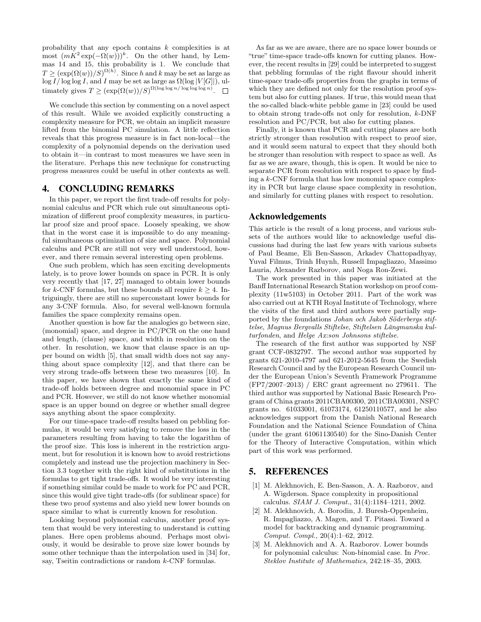probability that any epoch contains k complexities is at most  $(mK^2 \exp(-\Omega(w)))^k$ . On the other hand, by Lemmas 14 and 15, this probability is 1. We conclude that  $T \geq (\exp(\Omega(w))/S)^{\Omega(h)}$ . Since h and k may be set as large as  $\log I/\log \log I$ , and I may be set as large as  $\Omega(\log |V[G]|)$ , ultimately gives  $T \ge (\exp(\Omega(w))/S)^{\Omega(\log \log n / \log \log \log n)}$ .

We conclude this section by commenting on a novel aspect of this result. While we avoided explicitly constructing a complexity measure for PCR, we obtain an implicit measure lifted from the binomial PC simulation. A little reflection reveals that this progress measure is in fact non-local—the complexity of a polynomial depends on the derivation used to obtain it—in contrast to most measures we have seen in the literature. Perhaps this new technique for constructing progress measures could be useful in other contexts as well.

# 4. CONCLUDING REMARKS

In this paper, we report the first trade-off results for polynomial calculus and PCR which rule out simultaneous optimization of different proof complexity measures, in particular proof size and proof space. Loosely speaking, we show that in the worst case it is impossible to do any meaningful simultaneous optimization of size and space. Polynomial calculus and PCR are still not very well understood, however, and there remain several interesting open problems.

One such problem, which has seen exciting developments lately, is to prove lower bounds on space in PCR. It is only very recently that [17, 27] managed to obtain lower bounds for k-CNF formulas, but these bounds all require  $k \geq 4$ . Intriguingly, there are still no superconstant lower bounds for any 3-CNF formula. Also, for several well-known formula families the space complexity remains open.

Another question is how far the analogies go between size, (monomial) space, and degree in PC/PCR on the one hand and length, (clause) space, and width in resolution on the other. In resolution, we know that clause space is an upper bound on width [5], that small width does not say anything about space complexity [12], and that there can be very strong trade-offs between these two measures [10]. In this paper, we have shown that exactly the same kind of trade-off holds between degree and monomial space in PC and PCR. However, we still do not know whether monomial space is an upper bound on degree or whether small degree says anything about the space complexity.

For our time-space trade-off results based on pebbling formulas, it would be very satisfying to remove the loss in the parameters resulting from having to take the logarithm of the proof size. This loss is inherent in the restriction argument, but for resolution it is known how to avoid restrictions completely and instead use the projection machinery in Section 3.3 together with the right kind of substitutions in the formulas to get tight trade-offs. It would be very interesting if something similar could be made to work for PC and PCR, since this would give tight trade-offs (for sublinear space) for these two proof systems and also yield new lower bounds on space similar to what is currently known for resolution.

Looking beyond polynomial calculus, another proof system that would be very interesting to understand is cutting planes. Here open problems abound. Perhaps most obviously, it would be desirable to prove size lower bounds by some other technique than the interpolation used in [34] for, say, Tseitin contradictions or random k-CNF formulas.

As far as we are aware, there are no space lower bounds or "true" time-space trade-offs known for cutting planes. However, the recent results in [29] could be interpreted to suggest that pebbling formulas of the right flavour should inherit time-space trade-offs properties from the graphs in terms of which they are defined not only for the resolution proof system but also for cutting planes. If true, this would mean that the so-called black-white pebble game in [23] could be used to obtain strong trade-offs not only for resolution, k-DNF resolution and PC/PCR, but also for cutting planes.

Finally, it is known that PCR and cutting planes are both strictly stronger than resolution with respect to proof size, and it would seem natural to expect that they should both be stronger than resolution with respect to space as well. As far as we are aware, though, this is open. It would be nice to separate PCR from resolution with respect to space by finding a k-CNF formula that has low monomial space complexity in PCR but large clause space complexity in resolution, and similarly for cutting planes with respect to resolution.

#### Acknowledgements

This article is the result of a long process, and various subsets of the authors would like to acknowledge useful discussions had during the last few years with various subsets of Paul Beame, Eli Ben-Sasson, Arkadev Chattopadhyay, Yuval Filmus, Trinh Huynh, Russell Impagliazzo, Massimo Lauria, Alexander Razborov, and Noga Ron-Zewi.

The work presented in this paper was initiated at the Banff International Research Station workshop on proof complexity (11w5103) in October 2011. Part of the work was also carried out at KTH Royal Institute of Technology, where the visits of the first and third authors were partially supported by the foundations Johan och Jakob Söderbergs stiftelse, Magnus Bergvalls Stiftelse, Stiftelsen Längmanska kulturfonden, and Helge Ax:son Johnsons stiftelse.

The research of the first author was supported by NSF grant CCF-0832797. The second author was supported by grants 621-2010-4797 and 621-2012-5645 from the Swedish Research Council and by the European Research Council under the European Union's Seventh Framework Programme (FP7/2007–2013) / ERC grant agreement no 279611. The third author was supported by National Basic Research Program of China grants 2011CBA00300, 2011CBA00301, NSFC grants no. 61033001, 61073174, 61250110577, and he also acknowledges support from the Danish National Research Foundation and the National Science Foundation of China (under the grant 61061130540) for the Sino-Danish Center for the Theory of Interactive Computation, within which part of this work was performed.

# 5. REFERENCES

- [1] M. Alekhnovich, E. Ben-Sasson, A. A. Razborov, and A. Wigderson. Space complexity in propositional calculus. SIAM J. Comput., 31(4):1184–1211, 2002.
- [2] M. Alekhnovich, A. Borodin, J. Buresh-Oppenheim, R. Impagliazzo, A. Magen, and T. Pitassi. Toward a model for backtracking and dynamic programming. Comput. Compl., 20(4):1–62, 2012.
- [3] M. Alekhnovich and A. A. Razborov. Lower bounds for polynomial calculus: Non-binomial case. In Proc. Steklov Institute of Mathematics, 242:18–35, 2003.